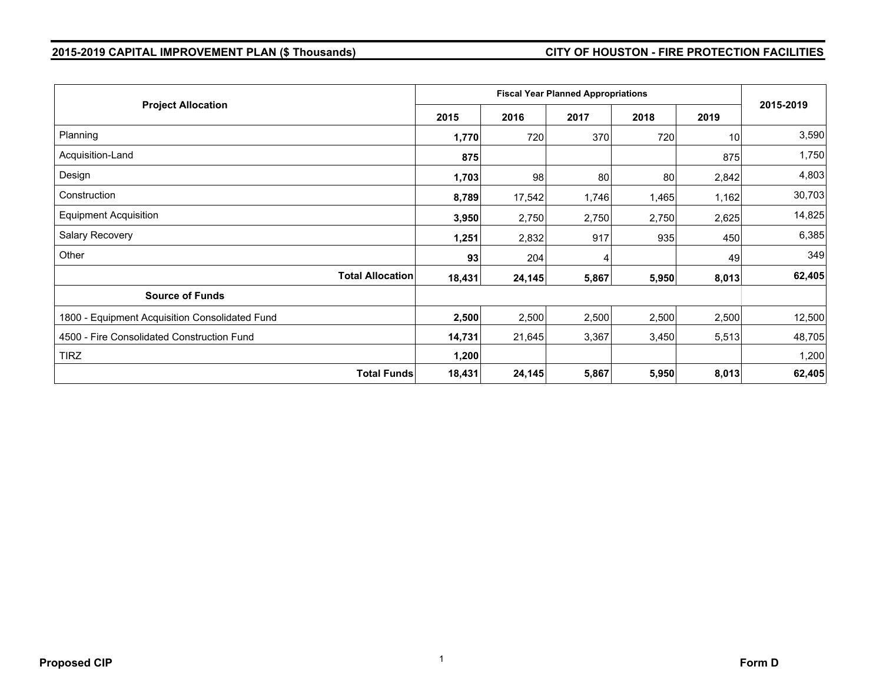# **2015-2019 CAPITAL IMPROVEMENT PLAN (\$ Thousands) CITY OF HOUSTON - FIRE PROTECTION FACILITIES**

| <b>Project Allocation</b>                      |        | <b>Fiscal Year Planned Appropriations</b> |       |       |       |           |  |  |
|------------------------------------------------|--------|-------------------------------------------|-------|-------|-------|-----------|--|--|
|                                                |        | 2016                                      | 2017  | 2018  | 2019  | 2015-2019 |  |  |
| Planning                                       | 1,770  | 720                                       | 370   | 720   | 10    | 3,590     |  |  |
| Acquisition-Land                               | 875    |                                           |       |       | 875   | 1,750     |  |  |
| Design                                         | 1,703  | 98                                        | 80    | 80    | 2,842 | 4,803     |  |  |
| Construction                                   | 8,789  | 17,542                                    | 1,746 | 1,465 | 1,162 | 30,703    |  |  |
| <b>Equipment Acquisition</b>                   | 3,950  | 2,750                                     | 2,750 | 2,750 | 2,625 | 14,825    |  |  |
| Salary Recovery                                | 1,251  | 2,832                                     | 917   | 935   | 450   | 6,385     |  |  |
| Other                                          | 93     | 204                                       |       |       | 49    | 349       |  |  |
| <b>Total Allocation</b>                        | 18,431 | 24,145                                    | 5,867 | 5,950 | 8,013 | 62,405    |  |  |
| <b>Source of Funds</b>                         |        |                                           |       |       |       |           |  |  |
| 1800 - Equipment Acquisition Consolidated Fund | 2,500  | 2,500                                     | 2,500 | 2,500 | 2,500 | 12,500    |  |  |
| 4500 - Fire Consolidated Construction Fund     | 14,731 | 21,645                                    | 3,367 | 3,450 | 5,513 | 48,705    |  |  |
| <b>TIRZ</b>                                    | 1,200  |                                           |       |       |       | 1,200     |  |  |
| <b>Total Funds</b>                             | 18,431 | 24,145                                    | 5,867 | 5,950 | 8,013 | 62,405    |  |  |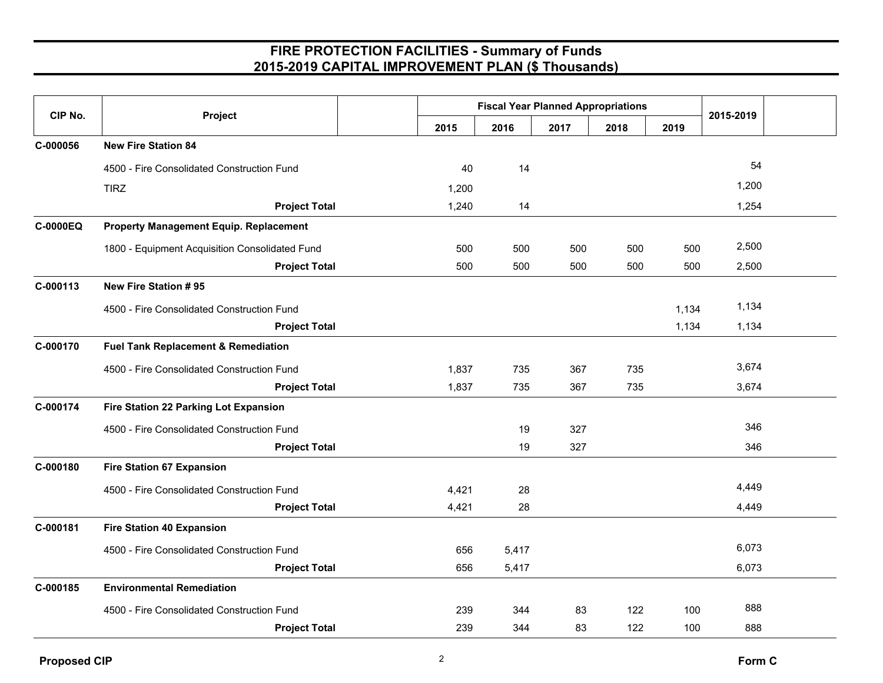| CIP No.  | Project                                        |       | <b>Fiscal Year Planned Appropriations</b> |      |      |       | 2015-2019 |  |
|----------|------------------------------------------------|-------|-------------------------------------------|------|------|-------|-----------|--|
|          |                                                | 2015  | 2016                                      | 2017 | 2018 | 2019  |           |  |
| C-000056 | <b>New Fire Station 84</b>                     |       |                                           |      |      |       |           |  |
|          | 4500 - Fire Consolidated Construction Fund     | 40    | 14                                        |      |      |       | 54        |  |
|          | <b>TIRZ</b>                                    | 1,200 |                                           |      |      |       | 1,200     |  |
|          | <b>Project Total</b>                           | 1,240 | 14                                        |      |      |       | 1,254     |  |
| C-0000EQ | <b>Property Management Equip. Replacement</b>  |       |                                           |      |      |       |           |  |
|          | 1800 - Equipment Acquisition Consolidated Fund | 500   | 500                                       | 500  | 500  | 500   | 2,500     |  |
|          | <b>Project Total</b>                           | 500   | 500                                       | 500  | 500  | 500   | 2,500     |  |
| C-000113 | New Fire Station #95                           |       |                                           |      |      |       |           |  |
|          | 4500 - Fire Consolidated Construction Fund     |       |                                           |      |      | 1,134 | 1,134     |  |
|          | <b>Project Total</b>                           |       |                                           |      |      | 1,134 | 1,134     |  |
| C-000170 | <b>Fuel Tank Replacement &amp; Remediation</b> |       |                                           |      |      |       |           |  |
|          | 4500 - Fire Consolidated Construction Fund     | 1,837 | 735                                       | 367  | 735  |       | 3,674     |  |
|          | <b>Project Total</b>                           | 1,837 | 735                                       | 367  | 735  |       | 3,674     |  |
| C-000174 | Fire Station 22 Parking Lot Expansion          |       |                                           |      |      |       |           |  |
|          | 4500 - Fire Consolidated Construction Fund     |       | 19                                        | 327  |      |       | 346       |  |
|          | <b>Project Total</b>                           |       | 19                                        | 327  |      |       | 346       |  |
| C-000180 | <b>Fire Station 67 Expansion</b>               |       |                                           |      |      |       |           |  |
|          | 4500 - Fire Consolidated Construction Fund     | 4,421 | 28                                        |      |      |       | 4,449     |  |
|          | <b>Project Total</b>                           | 4,421 | 28                                        |      |      |       | 4,449     |  |
| C-000181 | <b>Fire Station 40 Expansion</b>               |       |                                           |      |      |       |           |  |
|          | 4500 - Fire Consolidated Construction Fund     | 656   | 5,417                                     |      |      |       | 6,073     |  |
|          | <b>Project Total</b>                           | 656   | 5,417                                     |      |      |       | 6,073     |  |
| C-000185 | <b>Environmental Remediation</b>               |       |                                           |      |      |       |           |  |
|          | 4500 - Fire Consolidated Construction Fund     | 239   | 344                                       | 83   | 122  | 100   | 888       |  |
|          | <b>Project Total</b>                           | 239   | 344                                       | 83   | 122  | 100   | 888       |  |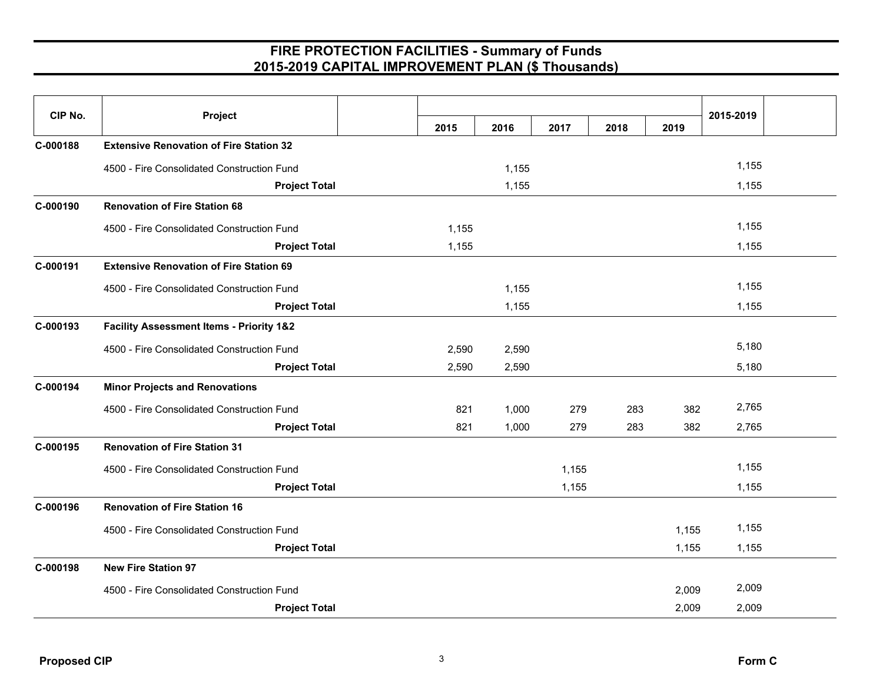| CIP No.  | Project                                             |      |       |       |       |      | 2015-2019 |       |
|----------|-----------------------------------------------------|------|-------|-------|-------|------|-----------|-------|
|          |                                                     | 2015 | 2016  | 2017  | 2018  | 2019 |           |       |
| C-000188 | <b>Extensive Renovation of Fire Station 32</b>      |      |       |       |       |      |           |       |
|          | 4500 - Fire Consolidated Construction Fund          |      |       | 1,155 |       |      |           | 1,155 |
|          | <b>Project Total</b>                                |      |       | 1,155 |       |      |           | 1,155 |
| C-000190 | <b>Renovation of Fire Station 68</b>                |      |       |       |       |      |           |       |
|          | 4500 - Fire Consolidated Construction Fund          |      | 1,155 |       |       |      |           | 1,155 |
|          | <b>Project Total</b>                                |      | 1,155 |       |       |      |           | 1,155 |
| C-000191 | <b>Extensive Renovation of Fire Station 69</b>      |      |       |       |       |      |           |       |
|          | 4500 - Fire Consolidated Construction Fund          |      |       | 1,155 |       |      |           | 1,155 |
|          | <b>Project Total</b>                                |      |       | 1,155 |       |      |           | 1,155 |
| C-000193 | <b>Facility Assessment Items - Priority 1&amp;2</b> |      |       |       |       |      |           |       |
|          | 4500 - Fire Consolidated Construction Fund          |      | 2,590 | 2,590 |       |      |           | 5,180 |
|          | <b>Project Total</b>                                |      | 2,590 | 2,590 |       |      |           | 5,180 |
| C-000194 | <b>Minor Projects and Renovations</b>               |      |       |       |       |      |           |       |
|          | 4500 - Fire Consolidated Construction Fund          |      | 821   | 1,000 | 279   | 283  | 382       | 2,765 |
|          | <b>Project Total</b>                                |      | 821   | 1,000 | 279   | 283  | 382       | 2,765 |
| C-000195 | <b>Renovation of Fire Station 31</b>                |      |       |       |       |      |           |       |
|          | 4500 - Fire Consolidated Construction Fund          |      |       |       | 1,155 |      |           | 1,155 |
|          | <b>Project Total</b>                                |      |       |       | 1,155 |      |           | 1,155 |
| C-000196 | <b>Renovation of Fire Station 16</b>                |      |       |       |       |      |           |       |
|          | 4500 - Fire Consolidated Construction Fund          |      |       |       |       |      | 1,155     | 1,155 |
|          | <b>Project Total</b>                                |      |       |       |       |      | 1,155     | 1,155 |
| C-000198 | <b>New Fire Station 97</b>                          |      |       |       |       |      |           |       |
|          | 4500 - Fire Consolidated Construction Fund          |      |       |       |       |      | 2,009     | 2,009 |
|          | <b>Project Total</b>                                |      |       |       |       |      | 2,009     | 2,009 |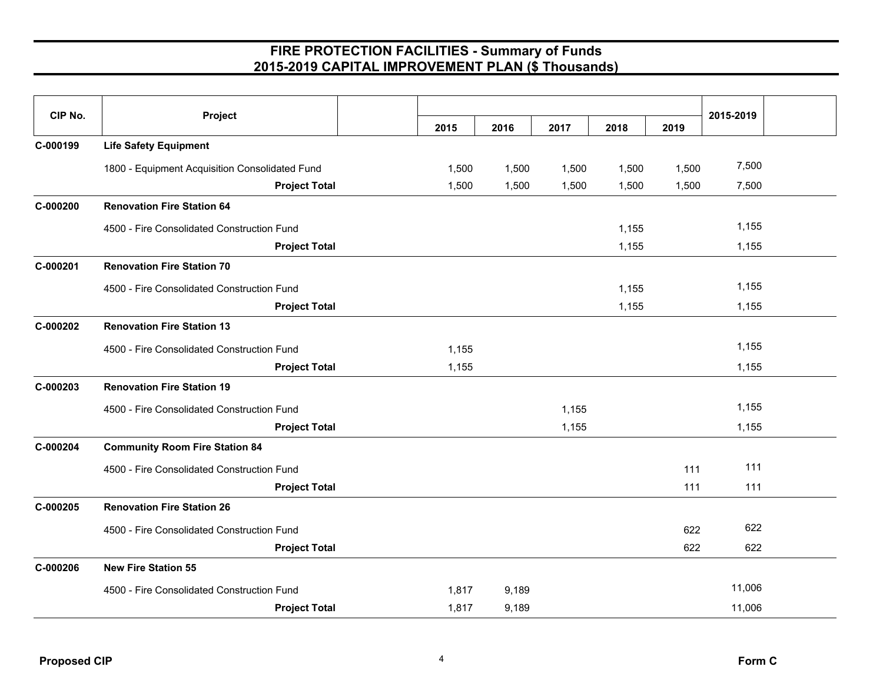| CIP No.  | Project                                        |       |       |       |       |       | 2015-2019 |  |
|----------|------------------------------------------------|-------|-------|-------|-------|-------|-----------|--|
|          |                                                | 2015  | 2016  | 2017  | 2018  | 2019  |           |  |
| C-000199 | <b>Life Safety Equipment</b>                   |       |       |       |       |       |           |  |
|          | 1800 - Equipment Acquisition Consolidated Fund | 1,500 | 1,500 | 1,500 | 1,500 | 1,500 | 7,500     |  |
|          | <b>Project Total</b>                           | 1,500 | 1,500 | 1,500 | 1,500 | 1,500 | 7,500     |  |
| C-000200 | <b>Renovation Fire Station 64</b>              |       |       |       |       |       |           |  |
|          | 4500 - Fire Consolidated Construction Fund     |       |       |       | 1,155 |       | 1,155     |  |
|          | <b>Project Total</b>                           |       |       |       | 1,155 |       | 1,155     |  |
| C-000201 | <b>Renovation Fire Station 70</b>              |       |       |       |       |       |           |  |
|          | 4500 - Fire Consolidated Construction Fund     |       |       |       | 1,155 |       | 1,155     |  |
|          | <b>Project Total</b>                           |       |       |       | 1,155 |       | 1,155     |  |
| C-000202 | <b>Renovation Fire Station 13</b>              |       |       |       |       |       |           |  |
|          | 4500 - Fire Consolidated Construction Fund     | 1,155 |       |       |       |       | 1,155     |  |
|          | <b>Project Total</b>                           | 1,155 |       |       |       |       | 1,155     |  |
| C-000203 | <b>Renovation Fire Station 19</b>              |       |       |       |       |       |           |  |
|          | 4500 - Fire Consolidated Construction Fund     |       |       | 1,155 |       |       | 1,155     |  |
|          | <b>Project Total</b>                           |       |       | 1,155 |       |       | 1,155     |  |
| C-000204 | <b>Community Room Fire Station 84</b>          |       |       |       |       |       |           |  |
|          | 4500 - Fire Consolidated Construction Fund     |       |       |       |       | 111   | 111       |  |
|          | <b>Project Total</b>                           |       |       |       |       | 111   | 111       |  |
| C-000205 | <b>Renovation Fire Station 26</b>              |       |       |       |       |       |           |  |
|          | 4500 - Fire Consolidated Construction Fund     |       |       |       |       | 622   | 622       |  |
|          | <b>Project Total</b>                           |       |       |       |       | 622   | 622       |  |
| C-000206 | <b>New Fire Station 55</b>                     |       |       |       |       |       |           |  |
|          | 4500 - Fire Consolidated Construction Fund     | 1,817 | 9,189 |       |       |       | 11,006    |  |
|          | <b>Project Total</b>                           | 1,817 | 9,189 |       |       |       | 11,006    |  |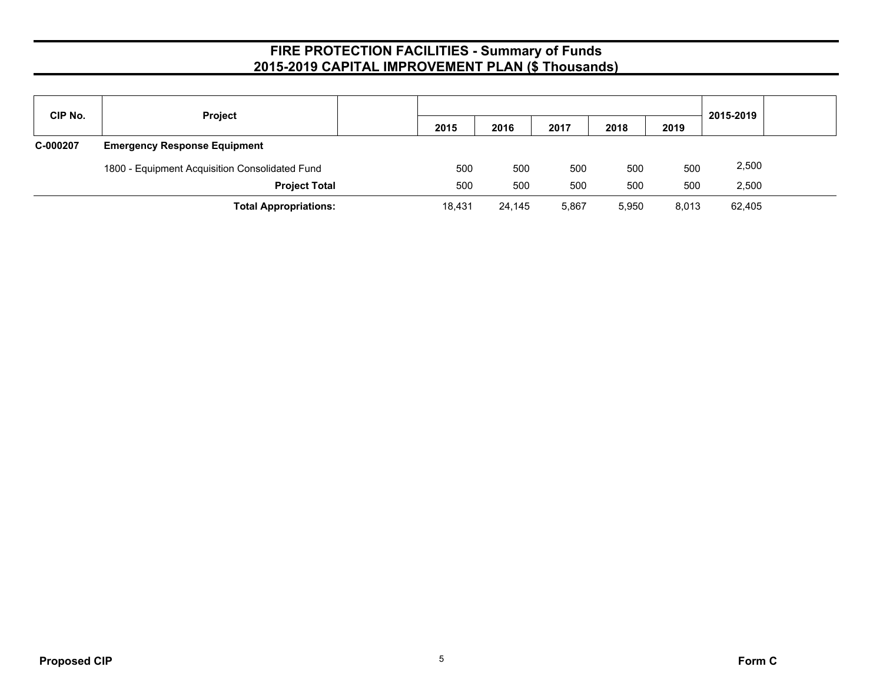| CIP No.  | <b>Project</b>                                 |        |        |       |       |       |           |  |
|----------|------------------------------------------------|--------|--------|-------|-------|-------|-----------|--|
|          |                                                | 2015   | 2016   | 2017  | 2018  | 2019  | 2015-2019 |  |
| C-000207 | <b>Emergency Response Equipment</b>            |        |        |       |       |       |           |  |
|          | 1800 - Equipment Acquisition Consolidated Fund | 500    | 500    | 500   | 500   | 500   | 2,500     |  |
|          | <b>Project Total</b>                           | 500    | 500    | 500   | 500   | 500   | 2,500     |  |
|          | <b>Total Appropriations:</b>                   | 18,431 | 24,145 | 5,867 | 5,950 | 8,013 | 62,405    |  |